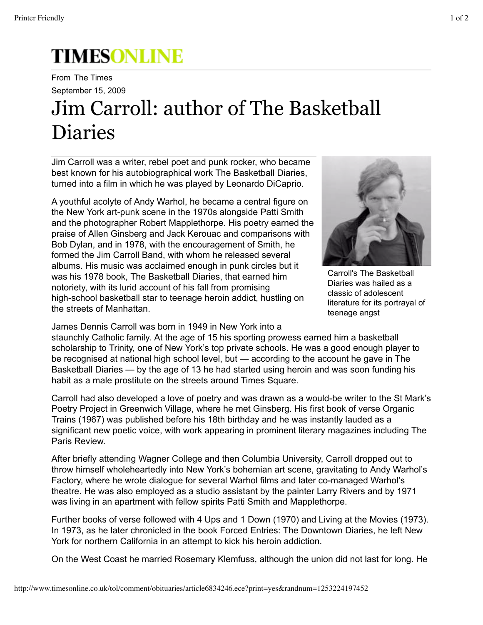## **TIMESONLINE**

September 15, 2009 From The Times

## Jim Carroll: author of The Basketball Diaries

Jim Carroll was a writer, rebel poet and punk rocker, who became best known for his autobiographical work The Basketball Diaries, turned into a film in which he was played by Leonardo DiCaprio.

A youthful acolyte of Andy Warhol, he became a central figure on the New York art-punk scene in the 1970s alongside Patti Smith and the photographer Robert Mapplethorpe. His poetry earned the praise of Allen Ginsberg and Jack Kerouac and comparisons with Bob Dylan, and in 1978, with the encouragement of Smith, he formed the Jim Carroll Band, with whom he released several albums. His music was acclaimed enough in punk circles but it was his 1978 book, The Basketball Diaries, that earned him notoriety, with its lurid account of his fall from promising high-school basketball star to teenage heroin addict, hustling on the streets of Manhattan.



Carroll's The Basketball Diaries was hailed as a classic of adolescent literature for its portrayal of teenage angst

James Dennis Carroll was born in 1949 in New York into a

staunchly Catholic family. At the age of 15 his sporting prowess earned him a basketball scholarship to Trinity, one of New York's top private schools. He was a good enough player to be recognised at national high school level, but — according to the account he gave in The Basketball Diaries — by the age of 13 he had started using heroin and was soon funding his habit as a male prostitute on the streets around Times Square.

Carroll had also developed a love of poetry and was drawn as a would-be writer to the St Mark's Poetry Project in Greenwich Village, where he met Ginsberg. His first book of verse Organic Trains (1967) was published before his 18th birthday and he was instantly lauded as a significant new poetic voice, with work appearing in prominent literary magazines including The Paris Review.

After briefly attending Wagner College and then Columbia University, Carroll dropped out to throw himself wholeheartedly into New York's bohemian art scene, gravitating to Andy Warhol's Factory, where he wrote dialogue for several Warhol films and later co-managed Warhol's theatre. He was also employed as a studio assistant by the painter Larry Rivers and by 1971 was living in an apartment with fellow spirits Patti Smith and Mapplethorpe.

Further books of verse followed with 4 Ups and 1 Down (1970) and Living at the Movies (1973). In 1973, as he later chronicled in the book Forced Entries: The Downtown Diaries, he left New York for northern California in an attempt to kick his heroin addiction.

On the West Coast he married Rosemary Klemfuss, although the union did not last for long. He